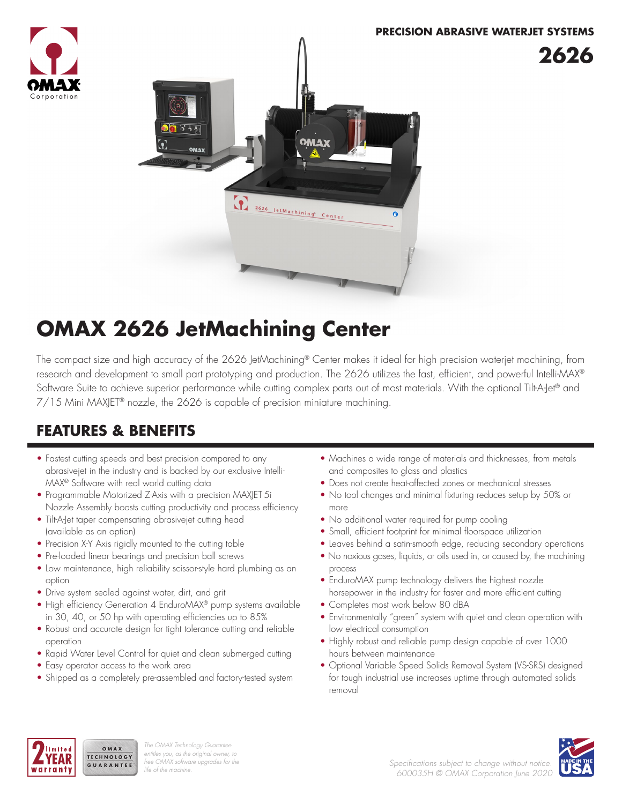



# **OMAX 2626 JetMachining Center**

The compact size and high accuracy of the 2626 JetMachining® Center makes it ideal for high precision waterjet machining, from research and development to small part prototyping and production. The 2626 utilizes the fast, efficient, and powerful Intelli-MAX® Software Suite to achieve superior performance while cutting complex parts out of most materials. With the optional Tilt-A-Jet® and 7/15 Mini MAXJET® nozzle, the 2626 is capable of precision miniature machining.

## **FEATURES & BENEFITS**

- Fastest cutting speeds and best precision compared to any abrasivejet in the industry and is backed by our exclusive Intelli-MAX® Software with real world cutting data
- Programmable Motorized Z-Axis with a precision MAXJET 5i Nozzle Assembly boosts cutting productivity and process efficiency
- Tilt-A-Jet taper compensating abrasivejet cutting head (available as an option)
- Precision X-Y Axis rigidly mounted to the cutting table
- Pre-loaded linear bearings and precision ball screws
- Low maintenance, high reliability scissor-style hard plumbing as an option
- Drive system sealed against water, dirt, and grit
- High efficiency Generation 4 EnduroMAX® pump systems available in 30, 40, or 50 hp with operating efficiencies up to 85%
- Robust and accurate design for tight tolerance cutting and reliable operation
- Rapid Water Level Control for quiet and clean submerged cutting
- Easy operator access to the work area

OMAX TECHNOLOGY

GUARANTEE

• Shipped as a completely pre-assembled and factory-tested system

- Machines a wide range of materials and thicknesses, from metals and composites to glass and plastics
- Does not create heat-affected zones or mechanical stresses
- No tool changes and minimal fixturing reduces setup by 50% or more
- No additional water required for pump cooling
- Small, efficient footprint for minimal floorspace utilization
- Leaves behind a satin-smooth edge, reducing secondary operations
- No noxious gases, liquids, or oils used in, or caused by, the machining process
- EnduroMAX pump technology delivers the highest nozzle horsepower in the industry for faster and more efficient cutting
- Completes most work below 80 dBA
- Environmentally "green" system with quiet and clean operation with low electrical consumption
- Highly robust and reliable pump design capable of over 1000 hours between maintenance
- Optional Variable Speed Solids Removal System (VS-SRS) designed for tough industrial use increases uptime through automated solids removal